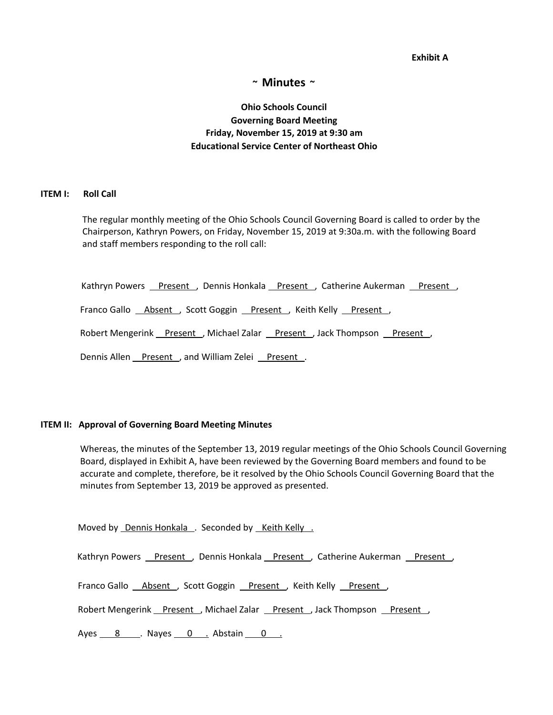**Exhibit A**

## **~ Minutes ~**

# **Ohio Schools Council Governing Board Meeting Friday, November 15, 2019 at 9:30 am Educational Service Center of Northeast Ohio**

#### **ITEM I: Roll Call**

The regular monthly meeting of the Ohio Schools Council Governing Board is called to order by the Chairperson, Kathryn Powers, on Friday, November 15, 2019 at 9:30a.m. with the following Board and staff members responding to the roll call:

Kathryn Powers Present , Dennis Honkala Present , Catherine Aukerman Present ,

Franco Gallo Absent , Scott Goggin Present , Keith Kelly Present ,

Robert Mengerink Present , Michael Zalar Present , Jack Thompson Present ,

Dennis Allen Present , and William Zelei Present .

#### **ITEM II: Approval of Governing Board Meeting Minutes**

Whereas, the minutes of the September 13, 2019 regular meetings of the Ohio Schools Council Governing Board, displayed in Exhibit A, have been reviewed by the Governing Board members and found to be accurate and complete, therefore, be it resolved by the Ohio Schools Council Governing Board that the minutes from September 13, 2019 be approved as presented.

Moved by Dennis Honkala . Seconded by Keith Kelly .

Kathryn Powers Present , Dennis Honkala Present , Catherine Aukerman Present ,

Franco Gallo **Absent**, Scott Goggin Present, Keith Kelly Present,

Robert Mengerink Present , Michael Zalar Present , Jack Thompson Present ,

Ayes 8 . Nayes 0 . Abstain 0 .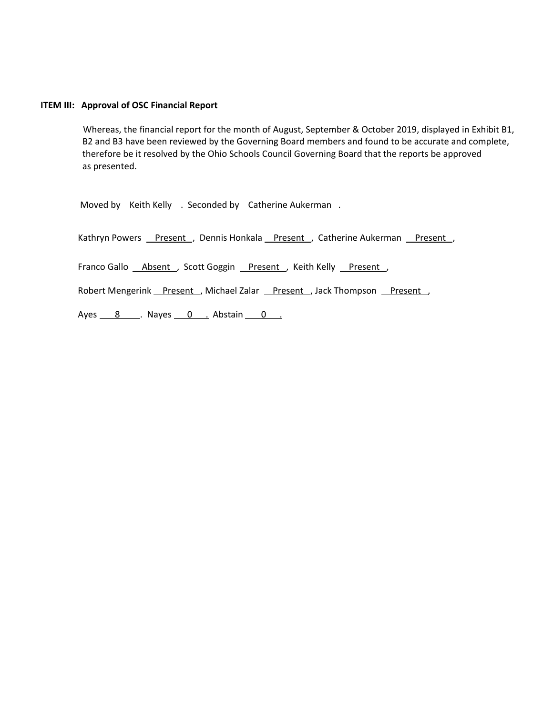#### **ITEM III: Approval of OSC Financial Report**

Whereas, the financial report for the month of August, September & October 2019, displayed in Exhibit B1, B2 and B3 have been reviewed by the Governing Board members and found to be accurate and complete, therefore be it resolved by the Ohio Schools Council Governing Board that the reports be approved as presented.

Moved by Keith Kelly . Seconded by Catherine Aukerman .

Kathryn Powers Present , Dennis Honkala Present , Catherine Aukerman Present ,

Franco Gallo *Absent* , Scott Goggin Present , Keith Kelly Present ,

Robert Mengerink Present , Michael Zalar Present , Jack Thompson Present ,

Ayes  $8 \tImes$  Nayes  $0 \tImes$  Abstain  $0 \tImes$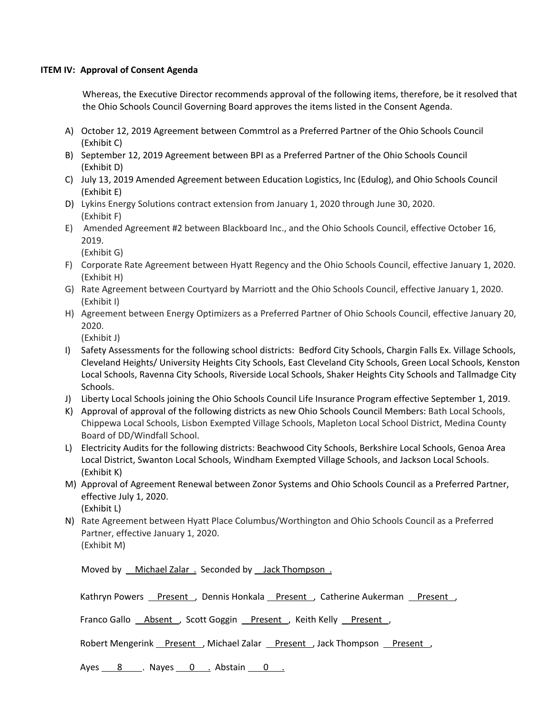### **ITEM IV: Approval of Consent Agenda**

Whereas, the Executive Director recommends approval of the following items, therefore, be it resolved that the Ohio Schools Council Governing Board approves the items listed in the Consent Agenda.

- A) October 12, 2019 Agreement between Commtrol as a Preferred Partner of the Ohio Schools Council (Exhibit C)
- B) September 12, 2019 Agreement between BPI as a Preferred Partner of the Ohio Schools Council (Exhibit D)
- C) July 13, 2019 Amended Agreement between Education Logistics, Inc (Edulog), and Ohio Schools Council (Exhibit E)
- D) Lykins Energy Solutions contract extension from January 1, 2020 through June 30, 2020. (Exhibit F)
- E) Amended Agreement #2 between Blackboard Inc., and the Ohio Schools Council, effective October 16, 2019.

(Exhibit G)

- F) Corporate Rate Agreement between Hyatt Regency and the Ohio Schools Council, effective January 1, 2020. (Exhibit H)
- G) Rate Agreement between Courtyard by Marriott and the Ohio Schools Council, effective January 1, 2020. (Exhibit I)
- H) Agreement between Energy Optimizers as a Preferred Partner of Ohio Schools Council, effective January 20, 2020.

(Exhibit J)

- I) Safety Assessments for the following school districts: Bedford City Schools, Chargin Falls Ex. Village Schools, Cleveland Heights/ University Heights City Schools, East Cleveland City Schools, Green Local Schools, Kenston Local Schools, Ravenna City Schools, Riverside Local Schools, Shaker Heights City Schools and Tallmadge City Schools.
- J) Liberty Local Schools joining the Ohio Schools Council Life Insurance Program effective September 1, 2019.
- K) Approval of approval of the following districts as new Ohio Schools Council Members: Bath Local Schools, Chippewa Local Schools, Lisbon Exempted Village Schools, Mapleton Local School District, Medina County Board of DD/Windfall School.
- L) Electricity Audits for the following districts: Beachwood City Schools, Berkshire Local Schools, Genoa Area Local District, Swanton Local Schools, Windham Exempted Village Schools, and Jackson Local Schools. (Exhibit K)
- M) Approval of Agreement Renewal between Zonor Systems and Ohio Schools Council as a Preferred Partner, effective July 1, 2020. (Exhibit L)
- N) Rate Agreement between Hyatt Place Columbus/Worthington and Ohio Schools Council as a Preferred Partner, effective January 1, 2020. (Exhibit M)

Moved by <u>Michael Zalar .</u> Seconded by Jack Thompson .

Kathryn Powers Present , Dennis Honkala Present , Catherine Aukerman Present ,

Franco Gallo *Absent* , Scott Goggin Present , Keith Kelly Present ,

Robert Mengerink Present , Michael Zalar Present , Jack Thompson Present ,

Ayes 8 . Nayes 0 . Abstain 0 .